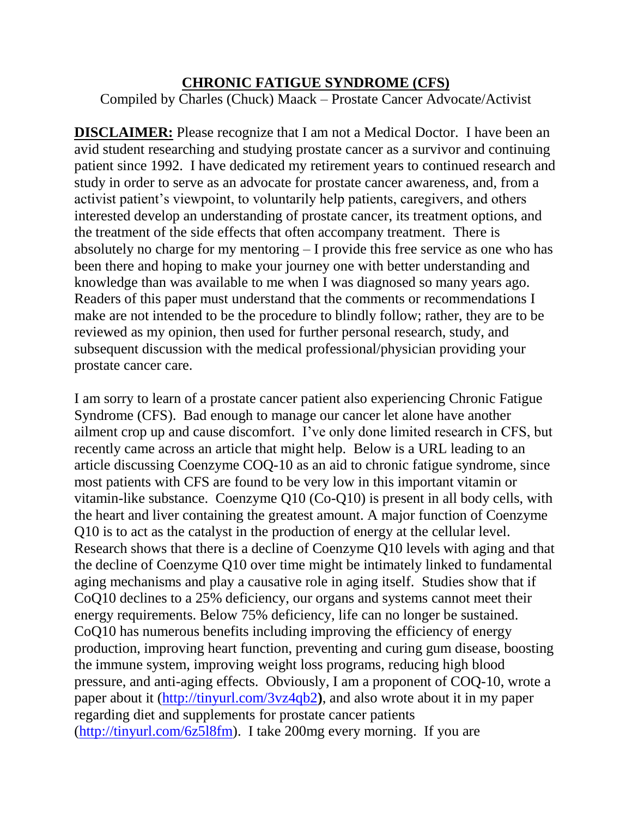## **CHRONIC FATIGUE SYNDROME (CFS)**

Compiled by Charles (Chuck) Maack – Prostate Cancer Advocate/Activist

**DISCLAIMER:** Please recognize that I am not a Medical Doctor. I have been an avid student researching and studying prostate cancer as a survivor and continuing patient since 1992. I have dedicated my retirement years to continued research and study in order to serve as an advocate for prostate cancer awareness, and, from a activist patient's viewpoint, to voluntarily help patients, caregivers, and others interested develop an understanding of prostate cancer, its treatment options, and the treatment of the side effects that often accompany treatment. There is absolutely no charge for my mentoring – I provide this free service as one who has been there and hoping to make your journey one with better understanding and knowledge than was available to me when I was diagnosed so many years ago. Readers of this paper must understand that the comments or recommendations I make are not intended to be the procedure to blindly follow; rather, they are to be reviewed as my opinion, then used for further personal research, study, and subsequent discussion with the medical professional/physician providing your prostate cancer care.

I am sorry to learn of a prostate cancer patient also experiencing Chronic Fatigue Syndrome (CFS). Bad enough to manage our cancer let alone have another ailment crop up and cause discomfort. I've only done limited research in CFS, but recently came across an article that might help. Below is a URL leading to an article discussing Coenzyme COQ-10 as an aid to chronic fatigue syndrome, since most patients with CFS are found to be very low in this important vitamin or vitamin-like substance. Coenzyme Q10 (Co-Q10) is present in all body cells, with the heart and liver containing the greatest amount. A major function of Coenzyme Q10 is to act as the catalyst in the production of energy at the cellular level. Research shows that there is a decline of Coenzyme Q10 levels with aging and that the decline of Coenzyme Q10 over time might be intimately linked to fundamental aging mechanisms and play a causative role in aging itself. Studies show that if CoQ10 declines to a 25% deficiency, our organs and systems cannot meet their energy requirements. Below 75% deficiency, life can no longer be sustained. CoQ10 has numerous benefits including improving the efficiency of energy production, improving heart function, preventing and curing gum disease, boosting the immune system, improving weight loss programs, reducing high blood pressure, and anti-aging effects. Obviously, I am a proponent of COQ-10, wrote a paper about it [\(http://tinyurl.com/3vz4qb2](http://tinyurl.com/3vz4qb2)**)**, and also wrote about it in my paper regarding diet and supplements for prostate cancer patients [\(http://tinyurl.com/6z5l8fm\)](http://tinyurl.com/6z5l8fm). I take 200mg every morning. If you are